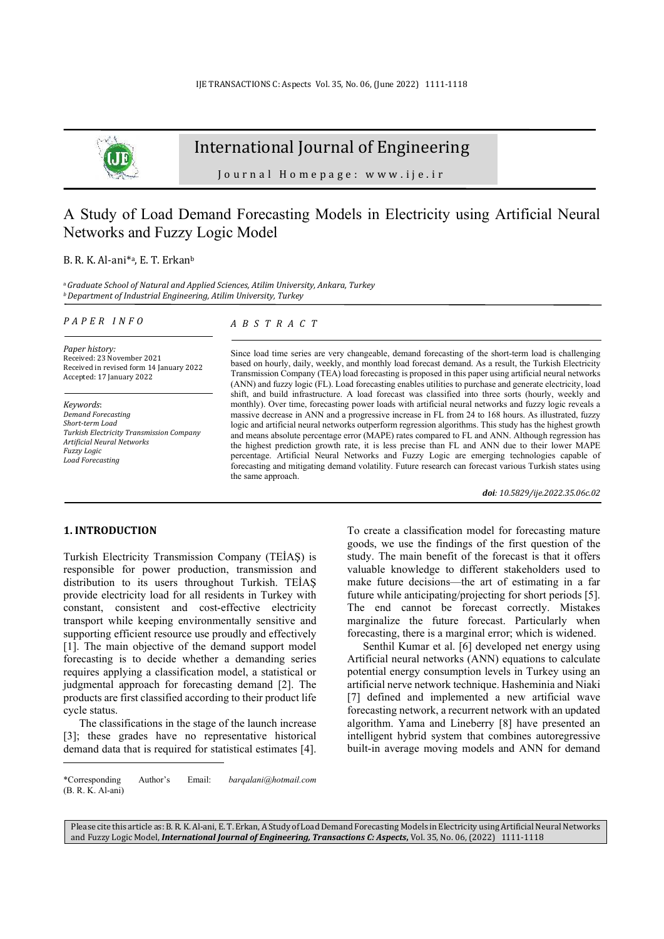

# International Journal of Engineering

Journal Homepage: www.ije.ir

# A Study of Load Demand Forecasting Models in Electricity using Artificial Neural Networks and Fuzzy Logic Model

#### B. R. K. Al-ani<sup>\*a</sup>, E. T. Erkan<sup>b</sup>

<sup>a</sup>*Graduate School of Natural and Applied Sciences, Atilim University, Ankara, Turkey <sup>b</sup>Department of Industrial Engineering, Atilim University, Turkey* 

#### *P A P E R I N F O*

*Paper history:*  Received: 23 November 2021 Received in revised form 14 January 2022 Accepted: 17 January 2022

*Keywords*: *Demand Forecasting Short-term Load Turkish Electricity Transmission Company Artificial Neural Networks Fuzzy Logic Load Forecasting* 

## *A B S T R A C T*

Since load time series are very changeable, demand forecasting of the short-term load is challenging based on hourly, daily, weekly, and monthly load forecast demand. As a result, the Turkish Electricity Transmission Company (TEA) load forecasting is proposed in this paper using artificial neural networks (ANN) and fuzzy logic (FL). Load forecasting enables utilities to purchase and generate electricity, load shift, and build infrastructure. A load forecast was classified into three sorts (hourly, weekly and monthly). Over time, forecasting power loads with artificial neural networks and fuzzy logic reveals a massive decrease in ANN and a progressive increase in FL from 24 to 168 hours. As illustrated, fuzzy logic and artificial neural networks outperform regression algorithms. This study has the highest growth and means absolute percentage error (MAPE) rates compared to FL and ANN. Although regression has the highest prediction growth rate, it is less precise than FL and ANN due to their lower MAPE percentage. Artificial Neural Networks and Fuzzy Logic are emerging technologies capable of forecasting and mitigating demand volatility. Future research can forecast various Turkish states using the same approach.

*doi: 10.5829/ije.2022.35.06c.02*

## **1. INTRODUCTION<sup>1</sup>**

Turkish Electricity Transmission Company (TEİAŞ) is responsible for power production, transmission and distribution to its users throughout Turkish. TEİAŞ provide electricity load for all residents in Turkey with constant, consistent and cost-effective electricity transport while keeping environmentally sensitive and supporting efficient resource use proudly and effectively [1]. The main objective of the demand support model forecasting is to decide whether a demanding series requires applying a classification model, a statistical or judgmental approach for forecasting demand [2]. The products are first classified according to their product life cycle status.

The classifications in the stage of the launch increase [3]; these grades have no representative historical demand data that is required for statistical estimates [4]. To create a classification model for forecasting mature goods, we use the findings of the first question of the study. The main benefit of the forecast is that it offers valuable knowledge to different stakeholders used to make future decisions—the art of estimating in a far future while anticipating/projecting for short periods [5]. The end cannot be forecast correctly. Mistakes marginalize the future forecast. Particularly when forecasting, there is a marginal error; which is widened.

Senthil Kumar et al. [6] developed net energy using Artificial neural networks (ANN) equations to calculate potential energy consumption levels in Turkey using an artificial nerve network technique. Hasheminia and Niaki [7] defined and implemented a new artificial wave forecasting network, a recurrent network with an updated algorithm. Yama and Lineberry [8] have presented an intelligent hybrid system that combines autoregressive built-in average moving models and ANN for demand

Please cite this article as: B. R. K. Al-ani, E. T. Erkan, A Study of Load Demand Forecasting Models in Electricity using Artificial Neural Networks and Fuzzy Logic Model, *International Journal of Engineering, Transactions C: Aspects***,** Vol. 35, No. 06, (2022) 1111-1118

<sup>\*</sup>Corresponding Author's Email: *barqalani@hotmail.com*  (B. R. K. Al-ani)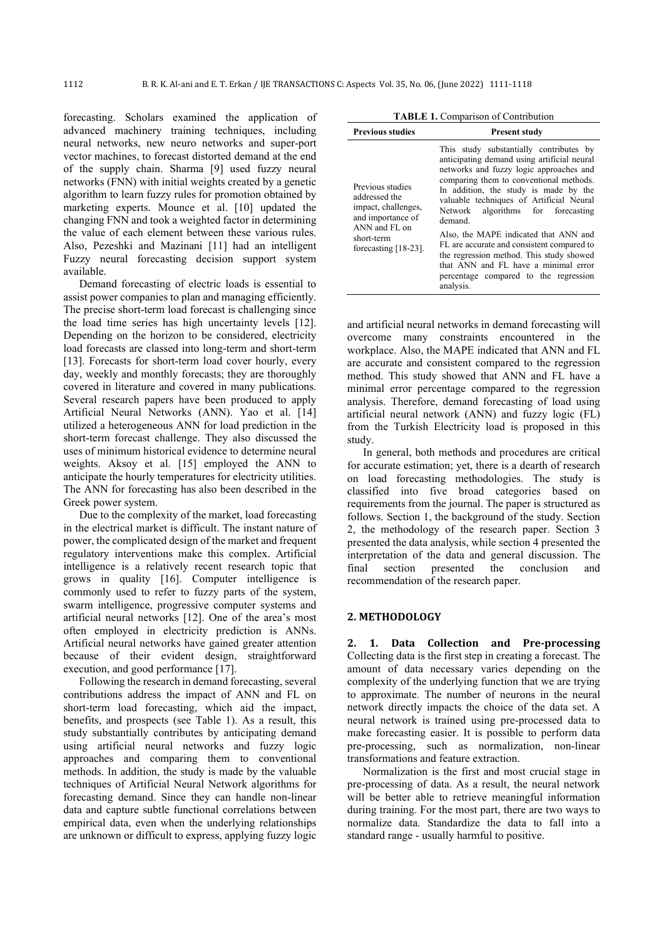forecasting. Scholars examined the application of advanced machinery training techniques, including neural networks, new neuro networks and super-port vector machines, to forecast distorted demand at the end of the supply chain. Sharma [9] used fuzzy neural networks (FNN) with initial weights created by a genetic algorithm to learn fuzzy rules for promotion obtained by marketing experts. Mounce et al. [10] updated the changing FNN and took a weighted factor in determining the value of each element between these various rules. Also, Pezeshki and Mazinani [11] had an intelligent Fuzzy neural forecasting decision support system available.

Demand forecasting of electric loads is essential to assist power companies to plan and managing efficiently. The precise short-term load forecast is challenging since the load time series has high uncertainty levels [12]. Depending on the horizon to be considered, electricity load forecasts are classed into long-term and short-term [13]. Forecasts for short-term load cover hourly, every day, weekly and monthly forecasts; they are thoroughly covered in literature and covered in many publications. Several research papers have been produced to apply Artificial Neural Networks (ANN). Yao et al. [14] utilized a heterogeneous ANN for load prediction in the short-term forecast challenge. They also discussed the uses of minimum historical evidence to determine neural weights. Aksoy et al. [15] employed the ANN to anticipate the hourly temperatures for electricity utilities. The ANN for forecasting has also been described in the Greek power system.

Due to the complexity of the market, load forecasting in the electrical market is difficult. The instant nature of power, the complicated design of the market and frequent regulatory interventions make this complex. Artificial intelligence is a relatively recent research topic that grows in quality [16]. Computer intelligence is commonly used to refer to fuzzy parts of the system, swarm intelligence, progressive computer systems and artificial neural networks [12]. One of the area's most often employed in electricity prediction is ANNs. Artificial neural networks have gained greater attention because of their evident design, straightforward execution, and good performance [17].

Following the research in demand forecasting, several contributions address the impact of ANN and FL on short-term load forecasting, which aid the impact, benefits, and prospects (see Table 1). As a result, this study substantially contributes by anticipating demand using artificial neural networks and fuzzy logic approaches and comparing them to conventional methods. In addition, the study is made by the valuable techniques of Artificial Neural Network algorithms for forecasting demand. Since they can handle non-linear data and capture subtle functional correlations between empirical data, even when the underlying relationships are unknown or difficult to express, applying fuzzy logic

| <b>TABLE 1.</b> Comparison of Contribution |  |
|--------------------------------------------|--|
|--------------------------------------------|--|

| <b>Previous studies</b>                                                                                                                 | <b>Present study</b>                                                                                                                                                                                                                                                                                                                                                                                                                                                                                                                                |
|-----------------------------------------------------------------------------------------------------------------------------------------|-----------------------------------------------------------------------------------------------------------------------------------------------------------------------------------------------------------------------------------------------------------------------------------------------------------------------------------------------------------------------------------------------------------------------------------------------------------------------------------------------------------------------------------------------------|
| Previous studies<br>addressed the<br>impact, challenges,<br>and importance of<br>ANN and FL on<br>short-term<br>forecasting $[18-23]$ . | This study substantially contributes by<br>anticipating demand using artificial neural<br>networks and fuzzy logic approaches and<br>comparing them to conventional methods.<br>In addition, the study is made by the<br>valuable techniques of Artificial Neural<br>Network algorithms for forecasting<br>demand.<br>Also, the MAPE indicated that ANN and<br>FL are accurate and consistent compared to<br>the regression method. This study showed<br>that ANN and FL have a minimal error<br>percentage compared to the regression<br>analysis. |

and artificial neural networks in demand forecasting will overcome many constraints encountered in the workplace. Also, the MAPE indicated that ANN and FL are accurate and consistent compared to the regression method. This study showed that ANN and FL have a minimal error percentage compared to the regression analysis. Therefore, demand forecasting of load using artificial neural network (ANN) and fuzzy logic (FL) from the Turkish Electricity load is proposed in this study.

In general, both methods and procedures are critical for accurate estimation; yet, there is a dearth of research on load forecasting methodologies. The study is classified into five broad categories based on requirements from the journal. The paper is structured as follows. Section 1, the background of the study. Section 2, the methodology of the research paper. Section 3 presented the data analysis, while section 4 presented the interpretation of the data and general discussion. The final section presented the conclusion and recommendation of the research paper.

## **2. METHODOLOGY**

**2. 1. Data Collection and Pre-processing**  Collecting data is the first step in creating a forecast. The amount of data necessary varies depending on the complexity of the underlying function that we are trying to approximate. The number of neurons in the neural network directly impacts the choice of the data set. A neural network is trained using pre-processed data to make forecasting easier. It is possible to perform data pre-processing, such as normalization, non-linear transformations and feature extraction.

Normalization is the first and most crucial stage in pre-processing of data. As a result, the neural network will be better able to retrieve meaningful information during training. For the most part, there are two ways to normalize data. Standardize the data to fall into a standard range - usually harmful to positive.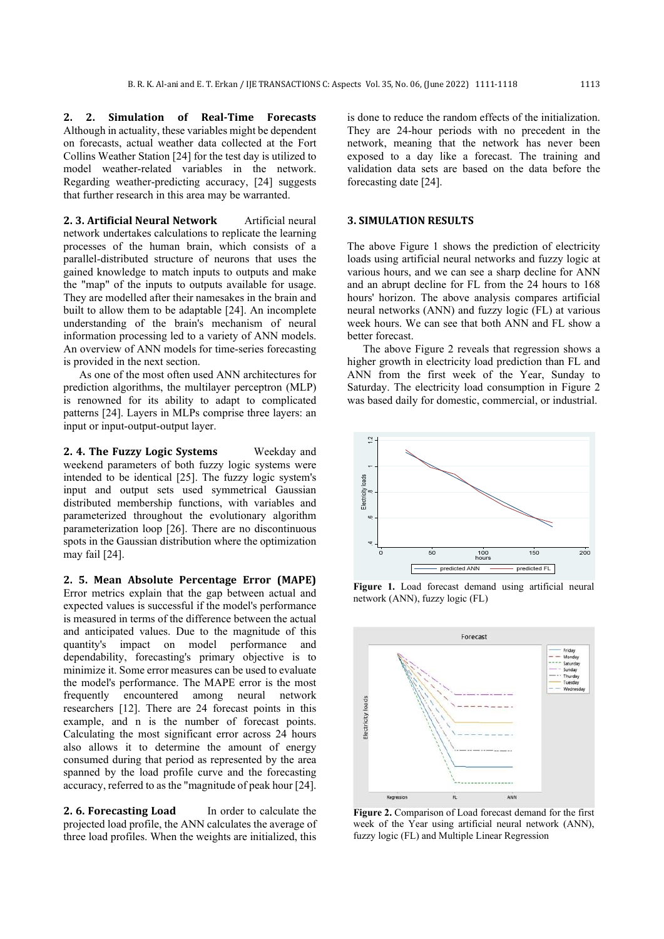**2. 2. Simulation of Real-Time Forecasts**  Although in actuality, these variables might be dependent on forecasts, actual weather data collected at the Fort Collins Weather Station [24] for the test day is utilized to model weather-related variables in the network. Regarding weather-predicting accuracy, [24] suggests that further research in this area may be warranted.

2. 3. Artificial Neural Network **Artificial neural** network undertakes calculations to replicate the learning processes of the human brain, which consists of a parallel-distributed structure of neurons that uses the gained knowledge to match inputs to outputs and make the "map" of the inputs to outputs available for usage. They are modelled after their namesakes in the brain and built to allow them to be adaptable [24]. An incomplete understanding of the brain's mechanism of neural information processing led to a variety of ANN models. An overview of ANN models for time-series forecasting is provided in the next section.

As one of the most often used ANN architectures for prediction algorithms, the multilayer perceptron (MLP) is renowned for its ability to adapt to complicated patterns [24]. Layers in MLPs comprise three layers: an input or input-output-output layer.

2. 4. The Fuzzy Logic Systems Weekday and weekend parameters of both fuzzy logic systems were intended to be identical [25]. The fuzzy logic system's input and output sets used symmetrical Gaussian distributed membership functions, with variables and parameterized throughout the evolutionary algorithm parameterization loop [26]. There are no discontinuous spots in the Gaussian distribution where the optimization may fail [24].

**2. 5. Mean Absolute Percentage Error (MAPE)** Error metrics explain that the gap between actual and expected values is successful if the model's performance is measured in terms of the difference between the actual and anticipated values. Due to the magnitude of this quantity's impact on model performance and dependability, forecasting's primary objective is to minimize it. Some error measures can be used to evaluate the model's performance. The MAPE error is the most frequently encountered among neural network researchers [12]. There are 24 forecast points in this example, and n is the number of forecast points. Calculating the most significant error across 24 hours also allows it to determine the amount of energy consumed during that period as represented by the area spanned by the load profile curve and the forecasting accuracy, referred to as the "magnitude of peak hour [24].

**2. 6. Forecasting Load** In order to calculate the projected load profile, the ANN calculates the average of three load profiles. When the weights are initialized, this

is done to reduce the random effects of the initialization. They are 24-hour periods with no precedent in the network, meaning that the network has never been exposed to a day like a forecast. The training and validation data sets are based on the data before the forecasting date [24].

### **3. SIMULATION RESULTS**

The above Figure 1 shows the prediction of electricity loads using artificial neural networks and fuzzy logic at various hours, and we can see a sharp decline for ANN and an abrupt decline for FL from the 24 hours to 168 hours' horizon. The above analysis compares artificial neural networks (ANN) and fuzzy logic (FL) at various week hours. We can see that both ANN and FL show a better forecast.

The above Figure 2 reveals that regression shows a higher growth in electricity load prediction than FL and ANN from the first week of the Year, Sunday to Saturday. The electricity load consumption in Figure 2 was based daily for domestic, commercial, or industrial.



**Figure 1.** Load forecast demand using artificial neural network (ANN), fuzzy logic (FL)



Figure 2. Comparison of Load forecast demand for the first week of the Year using artificial neural network (ANN), fuzzy logic (FL) and Multiple Linear Regression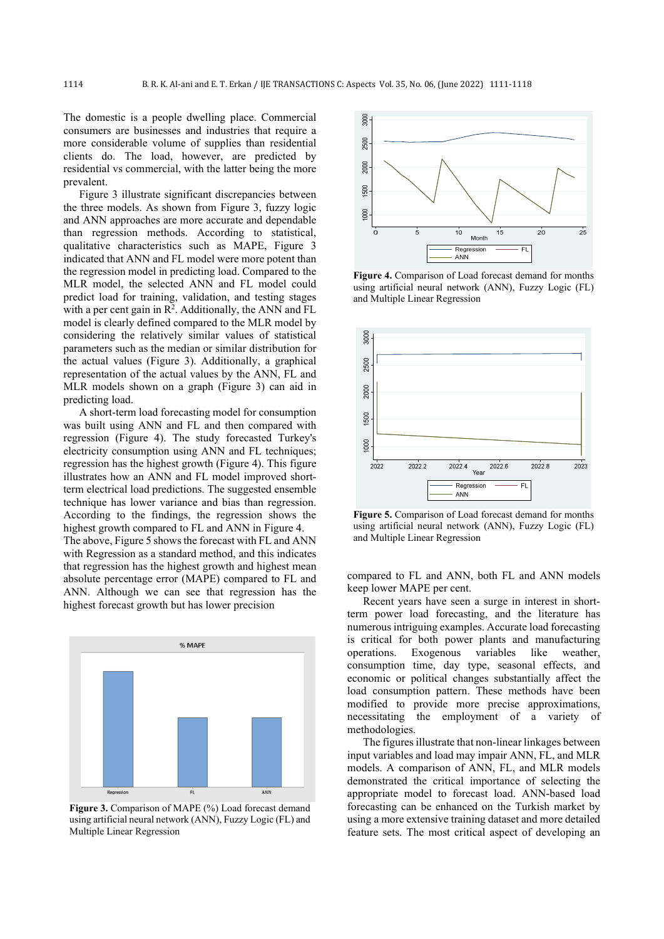The domestic is a people dwelling place. Commercial consumers are businesses and industries that require a more considerable volume of supplies than residential clients do. The load, however, are predicted by residential vs commercial, with the latter being the more prevalent.

Figure 3 illustrate significant discrepancies between the three models. As shown from Figure 3, fuzzy logic and ANN approaches are more accurate and dependable than regression methods. According to statistical, qualitative characteristics such as MAPE, Figure 3 indicated that ANN and FL model were more potent than the regression model in predicting load. Compared to the MLR model, the selected ANN and FL model could predict load for training, validation, and testing stages with a per cent gain in  $\mathbb{R}^2$ . Additionally, the ANN and FL model is clearly defined compared to the MLR model by considering the relatively similar values of statistical parameters such as the median or similar distribution for the actual values (Figure 3). Additionally, a graphical representation of the actual values by the ANN, FL and MLR models shown on a graph (Figure 3) can aid in predicting load.

A short-term load forecasting model for consumption was built using ANN and FL and then compared with regression (Figure 4). The study forecasted Turkey's electricity consumption using ANN and FL techniques; regression has the highest growth (Figure 4). This figure illustrates how an ANN and FL model improved shortterm electrical load predictions. The suggested ensemble technique has lower variance and bias than regression. According to the findings, the regression shows the highest growth compared to FL and ANN in Figure 4. The above, Figure 5 shows the forecast with FL and ANN with Regression as a standard method, and this indicates that regression has the highest growth and highest mean absolute percentage error (MAPE) compared to FL and

ANN. Although we can see that regression has the

highest forecast growth but has lower precision



Figure 3. Comparison of MAPE (%) Load forecast demand using artificial neural network (ANN), Fuzzy Logic (FL) and Multiple Linear Regression



**Figure 4.** Comparison of Load forecast demand for months using artificial neural network (ANN), Fuzzy Logic (FL) and Multiple Linear Regression



**Figure 5.** Comparison of Load forecast demand for months using artificial neural network (ANN), Fuzzy Logic (FL) and Multiple Linear Regression

compared to FL and ANN, both FL and ANN models keep lower MAPE per cent.

Recent years have seen a surge in interest in shortterm power load forecasting, and the literature has numerous intriguing examples. Accurate load forecasting is critical for both power plants and manufacturing operations. Exogenous variables like weather, consumption time, day type, seasonal effects, and economic or political changes substantially affect the load consumption pattern. These methods have been modified to provide more precise approximations, necessitating the employment of a variety of methodologies.

The figures illustrate that non-linear linkages between input variables and load may impair ANN, FL, and MLR models. A comparison of ANN, FL, and MLR models demonstrated the critical importance of selecting the appropriate model to forecast load. ANN-based load forecasting can be enhanced on the Turkish market by using a more extensive training dataset and more detailed feature sets. The most critical aspect of developing an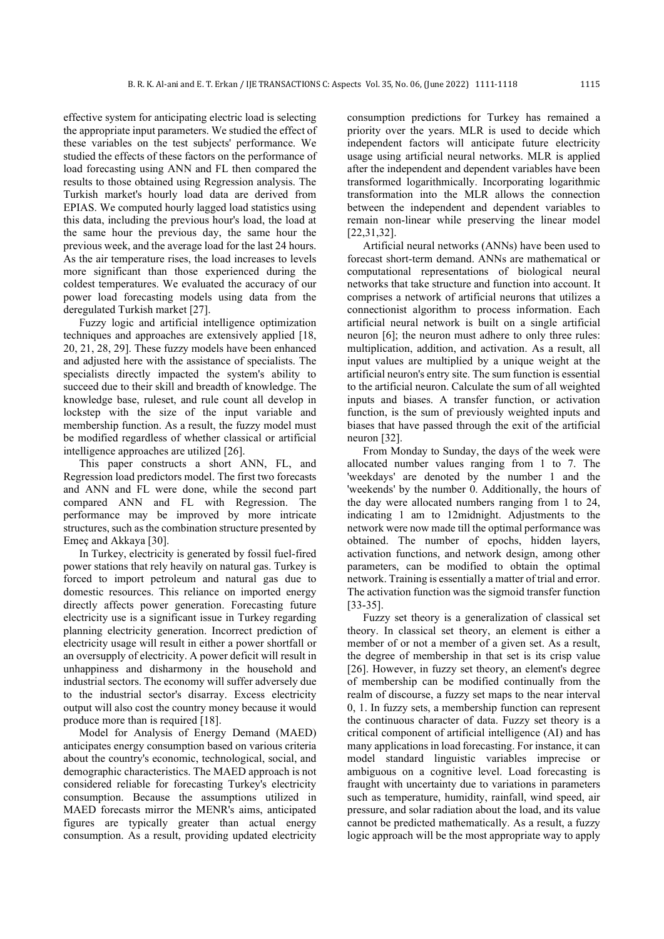effective system for anticipating electric load is selecting the appropriate input parameters. We studied the effect of these variables on the test subjects' performance. We studied the effects of these factors on the performance of load forecasting using ANN and FL then compared the results to those obtained using Regression analysis. The Turkish market's hourly load data are derived from EPIAS. We computed hourly lagged load statistics using this data, including the previous hour's load, the load at the same hour the previous day, the same hour the previous week, and the average load for the last 24 hours. As the air temperature rises, the load increases to levels more significant than those experienced during the coldest temperatures. We evaluated the accuracy of our power load forecasting models using data from the deregulated Turkish market [27].

Fuzzy logic and artificial intelligence optimization techniques and approaches are extensively applied [18, 20, 21, 28, 29]. These fuzzy models have been enhanced and adjusted here with the assistance of specialists. The specialists directly impacted the system's ability to succeed due to their skill and breadth of knowledge. The knowledge base, ruleset, and rule count all develop in lockstep with the size of the input variable and membership function. As a result, the fuzzy model must be modified regardless of whether classical or artificial intelligence approaches are utilized [26].

This paper constructs a short ANN, FL, and Regression load predictors model. The first two forecasts and ANN and FL were done, while the second part compared ANN and FL with Regression. The performance may be improved by more intricate structures, such as the combination structure presented by Emeç and Akkaya [30].

In Turkey, electricity is generated by fossil fuel-fired power stations that rely heavily on natural gas. Turkey is forced to import petroleum and natural gas due to domestic resources. This reliance on imported energy directly affects power generation. Forecasting future electricity use is a significant issue in Turkey regarding planning electricity generation. Incorrect prediction of electricity usage will result in either a power shortfall or an oversupply of electricity. A power deficit will result in unhappiness and disharmony in the household and industrial sectors. The economy will suffer adversely due to the industrial sector's disarray. Excess electricity output will also cost the country money because it would produce more than is required [18].

Model for Analysis of Energy Demand (MAED) anticipates energy consumption based on various criteria about the country's economic, technological, social, and demographic characteristics. The MAED approach is not considered reliable for forecasting Turkey's electricity consumption. Because the assumptions utilized in MAED forecasts mirror the MENR's aims, anticipated figures are typically greater than actual energy consumption. As a result, providing updated electricity consumption predictions for Turkey has remained a priority over the years. MLR is used to decide which independent factors will anticipate future electricity usage using artificial neural networks. MLR is applied after the independent and dependent variables have been transformed logarithmically. Incorporating logarithmic transformation into the MLR allows the connection between the independent and dependent variables to remain non-linear while preserving the linear model [22,31,32].

Artificial neural networks (ANNs) have been used to forecast short-term demand. ANNs are mathematical or computational representations of biological neural networks that take structure and function into account. It comprises a network of artificial neurons that utilizes a connectionist algorithm to process information. Each artificial neural network is built on a single artificial neuron [6]; the neuron must adhere to only three rules: multiplication, addition, and activation. As a result, all input values are multiplied by a unique weight at the artificial neuron's entry site. The sum function is essential to the artificial neuron. Calculate the sum of all weighted inputs and biases. A transfer function, or activation function, is the sum of previously weighted inputs and biases that have passed through the exit of the artificial neuron [32].

From Monday to Sunday, the days of the week were allocated number values ranging from 1 to 7. The 'weekdays' are denoted by the number 1 and the 'weekends' by the number 0. Additionally, the hours of the day were allocated numbers ranging from 1 to 24, indicating 1 am to 12midnight. Adjustments to the network were now made till the optimal performance was obtained. The number of epochs, hidden layers, activation functions, and network design, among other parameters, can be modified to obtain the optimal network. Training is essentially a matter of trial and error. The activation function was the sigmoid transfer function [33-35].

Fuzzy set theory is a generalization of classical set theory. In classical set theory, an element is either a member of or not a member of a given set. As a result, the degree of membership in that set is its crisp value [26]. However, in fuzzy set theory, an element's degree of membership can be modified continually from the realm of discourse, a fuzzy set maps to the near interval 0, 1. In fuzzy sets, a membership function can represent the continuous character of data. Fuzzy set theory is a critical component of artificial intelligence (AI) and has many applications in load forecasting. For instance, it can model standard linguistic variables imprecise or ambiguous on a cognitive level. Load forecasting is fraught with uncertainty due to variations in parameters such as temperature, humidity, rainfall, wind speed, air pressure, and solar radiation about the load, and its value cannot be predicted mathematically. As a result, a fuzzy logic approach will be the most appropriate way to apply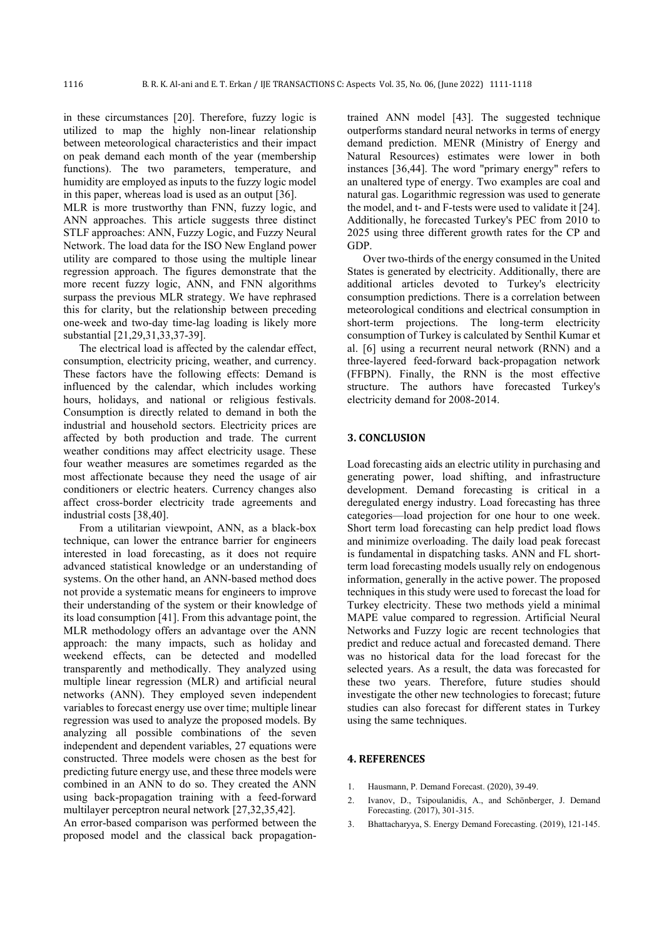in these circumstances [20]. Therefore, fuzzy logic is utilized to map the highly non-linear relationship between meteorological characteristics and their impact on peak demand each month of the year (membership functions). The two parameters, temperature, and humidity are employed as inputs to the fuzzy logic model in this paper, whereas load is used as an output [36].

MLR is more trustworthy than FNN, fuzzy logic, and ANN approaches. This article suggests three distinct STLF approaches: ANN, Fuzzy Logic, and Fuzzy Neural Network. The load data for the ISO New England power utility are compared to those using the multiple linear regression approach. The figures demonstrate that the more recent fuzzy logic, ANN, and FNN algorithms surpass the previous MLR strategy. We have rephrased this for clarity, but the relationship between preceding one-week and two-day time-lag loading is likely more substantial [21,29,31,33,37-39].

The electrical load is affected by the calendar effect, consumption, electricity pricing, weather, and currency. These factors have the following effects: Demand is influenced by the calendar, which includes working hours, holidays, and national or religious festivals. Consumption is directly related to demand in both the industrial and household sectors. Electricity prices are affected by both production and trade. The current weather conditions may affect electricity usage. These four weather measures are sometimes regarded as the most affectionate because they need the usage of air conditioners or electric heaters. Currency changes also affect cross-border electricity trade agreements and industrial costs [38,40].

From a utilitarian viewpoint, ANN, as a black-box technique, can lower the entrance barrier for engineers interested in load forecasting, as it does not require advanced statistical knowledge or an understanding of systems. On the other hand, an ANN-based method does not provide a systematic means for engineers to improve their understanding of the system or their knowledge of its load consumption [41]. From this advantage point, the MLR methodology offers an advantage over the ANN approach: the many impacts, such as holiday and weekend effects, can be detected and modelled transparently and methodically. They analyzed using multiple linear regression (MLR) and artificial neural networks (ANN). They employed seven independent variables to forecast energy use over time; multiple linear regression was used to analyze the proposed models. By analyzing all possible combinations of the seven independent and dependent variables, 27 equations were constructed. Three models were chosen as the best for predicting future energy use, and these three models were combined in an ANN to do so. They created the ANN using back-propagation training with a feed-forward multilayer perceptron neural network [27,32,35,42].

An error-based comparison was performed between the proposed model and the classical back propagationtrained ANN model [43]. The suggested technique outperforms standard neural networks in terms of energy demand prediction. MENR (Ministry of Energy and Natural Resources) estimates were lower in both instances [36,44]. The word "primary energy" refers to an unaltered type of energy. Two examples are coal and natural gas. Logarithmic regression was used to generate the model, and t- and F-tests were used to validate it [24]. Additionally, he forecasted Turkey's PEC from 2010 to 2025 using three different growth rates for the CP and GDP.

Over two-thirds of the energy consumed in the United States is generated by electricity. Additionally, there are additional articles devoted to Turkey's electricity consumption predictions. There is a correlation between meteorological conditions and electrical consumption in short-term projections. The long-term electricity consumption of Turkey is calculated by Senthil Kumar et al. [6] using a recurrent neural network (RNN) and a three-layered feed-forward back-propagation network (FFBPN). Finally, the RNN is the most effective structure. The authors have forecasted Turkey's electricity demand for 2008-2014.

#### **3. CONCLUSION**

Load forecasting aids an electric utility in purchasing and generating power, load shifting, and infrastructure development. Demand forecasting is critical in a deregulated energy industry. Load forecasting has three categories—load projection for one hour to one week. Short term load forecasting can help predict load flows and minimize overloading. The daily load peak forecast is fundamental in dispatching tasks. ANN and FL shortterm load forecasting models usually rely on endogenous information, generally in the active power. The proposed techniques in this study were used to forecast the load for Turkey electricity. These two methods yield a minimal MAPE value compared to regression. Artificial Neural Networks and Fuzzy logic are recent technologies that predict and reduce actual and forecasted demand. There was no historical data for the load forecast for the selected years. As a result, the data was forecasted for these two years. Therefore, future studies should investigate the other new technologies to forecast; future studies can also forecast for different states in Turkey using the same techniques.

#### **4. REFERENCES**

- 1. Hausmann, P. Demand Forecast. (2020), 39-49.
- 2. Ivanov, D., Tsipoulanidis, A., and Schönberger, J. Demand Forecasting. (2017), 301-315.
- 3. Bhattacharyya, S. Energy Demand Forecasting. (2019), 121-145.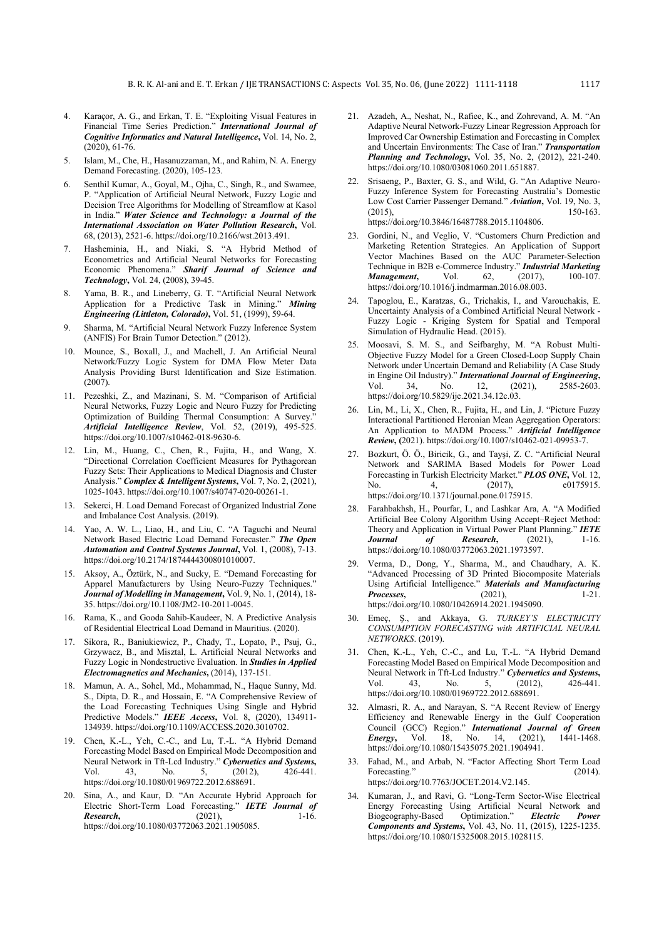- 4. Karaçor, A. G., and Erkan, T. E. "Exploiting Visual Features in Financial Time Series Prediction." *International Journal of Cognitive Informatics and Natural Intelligence***,** Vol. 14, No. 2, (2020), 61-76.
- 5. Islam, M., Che, H., Hasanuzzaman, M., and Rahim, N. A. Energy Demand Forecasting. (2020), 105-123.
- 6. Senthil Kumar, A., Goyal, M., Ojha, C., Singh, R., and Swamee, P. "Application of Artificial Neural Network, Fuzzy Logic and Decision Tree Algorithms for Modelling of Streamflow at Kasol in India." *Water Science and Technology: a Journal of the International Association on Water Pollution Research***,** Vol. 68, (2013), 2521-6. https://doi.org/10.2166/wst.2013.491.
- 7. Hasheminia, H., and Niaki, S. "A Hybrid Method of Econometrics and Artificial Neural Networks for Forecasting Economic Phenomena." *Sharif Journal of Science and Technology***,** Vol. 24, (2008), 39-45.
- Yama, B. R., and Lineberry, G. T. "Artificial Neural Network Application for a Predictive Task in Mining." *Mining Engineering (Littleton, Colorado)***,** Vol. 51, (1999), 59-64.
- 9. Sharma, M. "Artificial Neural Network Fuzzy Inference System (ANFIS) For Brain Tumor Detection." (2012).
- 10. Mounce, S., Boxall, J., and Machell, J. An Artificial Neural Network/Fuzzy Logic System for DMA Flow Meter Data Analysis Providing Burst Identification and Size Estimation. (2007).
- 11. Pezeshki, Z., and Mazinani, S. M. "Comparison of Artificial Neural Networks, Fuzzy Logic and Neuro Fuzzy for Predicting Optimization of Building Thermal Consumption: A Survey. *Artificial Intelligence Review*, Vol. 52, (2019), 495-525. https://doi.org/10.1007/s10462-018-9630-6.
- 12. Lin, M., Huang, C., Chen, R., Fujita, H., and Wang, X. "Directional Correlation Coefficient Measures for Pythagorean Fuzzy Sets: Their Applications to Medical Diagnosis and Cluster Analysis." *Complex & Intelligent Systems***,** Vol. 7, No. 2, (2021), 1025-1043. https://doi.org/10.1007/s40747-020-00261-1.
- 13. Sekerci, H. Load Demand Forecast of Organized Industrial Zone and Imbalance Cost Analysis. (2019).
- 14. Yao, A. W. L., Liao, H., and Liu, C. "A Taguchi and Neural Network Based Electric Load Demand Forecaster." *The Open Automation and Control Systems Journal***,** Vol. 1, (2008), 7-13. https://doi.org/10.2174/1874444300801010007.
- 15. Aksoy, A., Öztürk, N., and Sucky, E. "Demand Forecasting for Apparel Manufacturers by Using Neuro-Fuzzy Techniques." *Journal of Modelling in Management***,** Vol. 9, No. 1, (2014), 18- 35. https://doi.org/10.1108/JM2-10-2011-0045.
- 16. Rama, K., and Gooda Sahib-Kaudeer, N. A Predictive Analysis of Residential Electrical Load Demand in Mauritius. (2020).
- 17. Sikora, R., Baniukiewicz, P., Chady, T., Lopato, P., Psuj, G., Grzywacz, B., and Misztal, L. Artificial Neural Networks and Fuzzy Logic in Nondestructive Evaluation. In *Studies in Applied Electromagnetics and Mechanics***,** (2014), 137-151.
- 18. Mamun, A. A., Sohel, Md., Mohammad, N., Haque Sunny, Md. S., Dipta, D. R., and Hossain, E. "A Comprehensive Review of the Load Forecasting Techniques Using Single and Hybrid Predictive Models." *IEEE Access***,** Vol. 8, (2020), 134911- 134939. https://doi.org/10.1109/ACCESS.2020.3010702.
- 19. Chen, K.-L., Yeh, C.-C., and Lu, T.-L. "A Hybrid Demand Forecasting Model Based on Empirical Mode Decomposition and Neural Network in Tft-Lcd Industry." *Cybernetics and Systems***,**  Vol. 43, No. 5, (2012), 426-441. https://doi.org/10.1080/01969722.2012.688691.
- 20. Sina, A., and Kaur, D. "An Accurate Hybrid Approach for Electric Short-Term Load Forecasting." *IETE Journal of*  **Research,** (2021), 1-16. https://doi.org/10.1080/03772063.2021.1905085.
- 21. Azadeh, A., Neshat, N., Rafiee, K., and Zohrevand, A. M. "An Adaptive Neural Network-Fuzzy Linear Regression Approach for Improved Car Ownership Estimation and Forecasting in Complex and Uncertain Environments: The Case of Iran." *Transportation Planning and Technology***,** Vol. 35, No. 2, (2012), 221-240. https://doi.org/10.1080/03081060.2011.651887.
- 22. Srisaeng, P., Baxter, G. S., and Wild, G. "An Adaptive Neuro-Fuzzy Inference System for Forecasting Australia's Domestic Low Cost Carrier Passenger Demand." *Aviation*, Vol. 19, No. 3, (2015), 150-163. (2015), 150-163. https://doi.org/10.3846/16487788.2015.1104806.
- 23. Gordini, N., and Veglio, V. "Customers Churn Prediction and Marketing Retention Strategies. An Application of Support Vector Machines Based on the AUC Parameter-Selection Technique in B2B e-Commerce Industry." *Industrial Marketing Management*, Vol. 62, https://doi.org/10.1016/j.indmarman.2016.08.003.
- 24. Tapoglou, E., Karatzas, G., Trichakis, I., and Varouchakis, E. Uncertainty Analysis of a Combined Artificial Neural Network - Fuzzy Logic - Kriging System for Spatial and Temporal Simulation of Hydraulic Head. (2015).
- 25. Moosavi, S. M. S., and Seifbarghy, M. "A Robust Multi-Objective Fuzzy Model for a Green Closed-Loop Supply Chain Network under Uncertain Demand and Reliability (A Case Study in Engine Oil Industry)." **International Journal of Engineering**, Vol. 34, No. 12, (2021), 2585-2603. Vol. 34, No. 12, (2021), 2585-2603. https://doi.org/10.5829/ije.2021.34.12c.03.
- Lin, M., Li, X., Chen, R., Fujita, H., and Lin, J. "Picture Fuzzy Interactional Partitioned Heronian Mean Aggregation Operators: An Application to MADM Process." *Artificial Intelligence Review***, (**2021). https://doi.org/10.1007/s10462-021-09953-7.
- 27. Bozkurt, Ö. Ö., Biricik, G., and Tayşi, Z. C. "Artificial Neural Network and SARIMA Based Models for Power Load Forecasting in Turkish Electricity Market." *PLOS ONE***,** Vol. 12, No. 4, (2017), e0175915. https://doi.org/10.1371/journal.pone.0175915.
- 28. Farahbakhsh, H., Pourfar, I., and Lashkar Ara, A. "A Modified Artificial Bee Colony Algorithm Using Accept–Reject Method: Theory and Application in Virtual Power Plant Planning." *IETE Journal of Research***,** (2021), 1-16. https://doi.org/10.1080/03772063.2021.1973597.
- 29. Verma, D., Dong, Y., Sharma, M., and Chaudhary, A. K. "Advanced Processing of 3D Printed Biocomposite Materials Using Artificial Intelligence." *Materials and Manufacturing Processes***,** (2021), 1-21. https://doi.org/10.1080/10426914.2021.1945090.
- 30. Emeç, Ş., and Akkaya, G. *TURKEY'S ELECTRICITY CONSUMPTION FORECASTING with ARTIFICIAL NEURAL NETWORKS*. (2019).
- 31. Chen, K.-L., Yeh, C.-C., and Lu, T.-L. "A Hybrid Demand Forecasting Model Based on Empirical Mode Decomposition and Neural Network in Tft-Lcd Industry." *Cybernetics and Systems***,** Vol. 43, No. 5, (2012), 426-441. https://doi.org/10.1080/01969722.2012.688691.
- 32. Almasri, R. A., and Narayan, S. "A Recent Review of Energy Efficiency and Renewable Energy in the Gulf Cooperation Council (GCC) Region." *International Journal of Green Energy*, Vol. 18, No. 14, (2021), https://doi.org/10.1080/15435075.2021.1904941.
- 33. Fahad, M., and Arbab, N. "Factor Affecting Short Term Load Forecasting." (2014). https://doi.org/10.7763/JOCET.2014.V2.145.
- 34. Kumaran, J., and Ravi, G. "Long-Term Sector-Wise Electrical Energy Forecasting Using Artificial Neural Network and Biogeography-Based Optimization." Electric Power Biogeography-Based Optimization." *Electric Power Components and Systems***,** Vol. 43, No. 11, (2015), 1225-1235. https://doi.org/10.1080/15325008.2015.1028115.